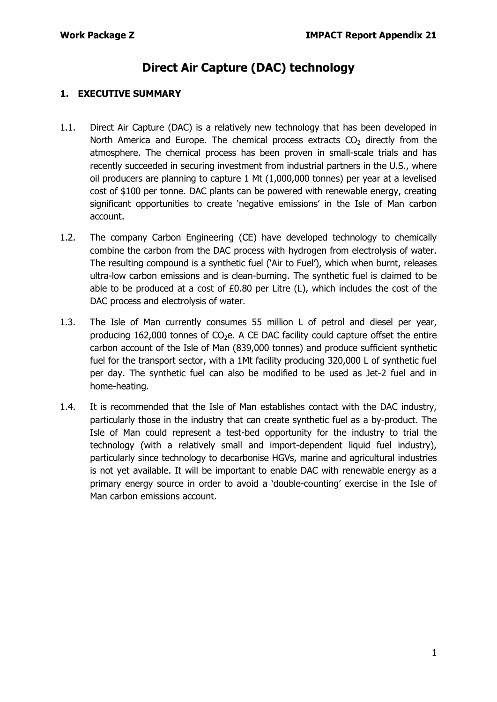# **Direct Air Capture (DAC) technology**

## **1. EXECUTIVE SUMMARY**

- 1.1. Direct Air Capture (DAC) is a relatively new technology that has been developed in North America and Europe. The chemical process extracts  $CO<sub>2</sub>$  directly from the atmosphere. The chemical process has been proven in small-scale trials and has recently succeeded in securing investment from industrial partners in the U.S., where oil producers are planning to capture 1 Mt (1,000,000 tonnes) per year at a levelised cost of \$100 per tonne. DAC plants can be powered with renewable energy, creating significant opportunities to create 'negative emissions' in the Isle of Man carbon account.
- 1.2. The company Carbon Engineering (CE) have developed technology to chemically combine the carbon from the DAC process with hydrogen from electrolysis of water. The resulting compound is a synthetic fuel ('Air to Fuel'), which when burnt, releases ultra-low carbon emissions and is clean-burning. The synthetic fuel is claimed to be able to be produced at a cost of £0.80 per Litre (L), which includes the cost of the DAC process and electrolysis of water.
- 1.3. The Isle of Man currently consumes 55 million L of petrol and diesel per year, producing 162,000 tonnes of  $CO<sub>2</sub>e$ . A CE DAC facility could capture offset the entire carbon account of the Isle of Man (839,000 tonnes) and produce sufficient synthetic fuel for the transport sector, with a 1Mt facility producing 320,000 L of synthetic fuel per day. The synthetic fuel can also be modified to be used as Jet-2 fuel and in home-heating.
- 1.4. It is recommended that the Isle of Man establishes contact with the DAC industry, particularly those in the industry that can create synthetic fuel as a by-product. The Isle of Man could represent a test-bed opportunity for the industry to trial the technology (with a relatively small and import-dependent liquid fuel industry), particularly since technology to decarbonise HGVs, marine and agricultural industries is not yet available. It will be important to enable DAC with renewable energy as a primary energy source in order to avoid a 'double-counting' exercise in the Isle of Man carbon emissions account.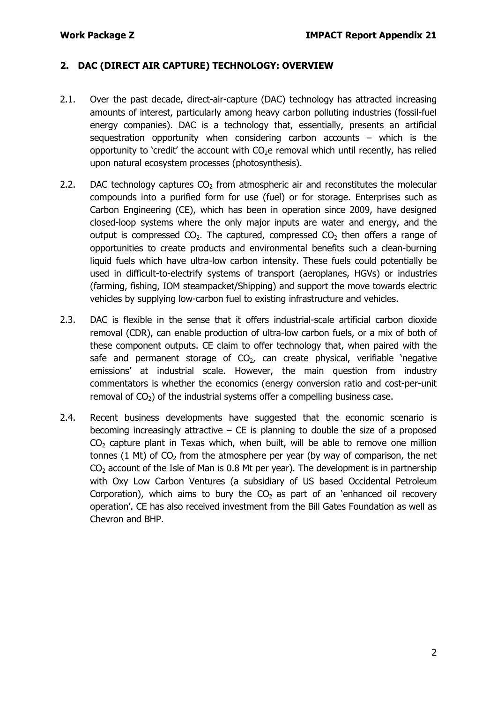#### **2. DAC (DIRECT AIR CAPTURE) TECHNOLOGY: OVERVIEW**

- 2.1. Over the past decade, direct-air-capture (DAC) technology has attracted increasing amounts of interest, particularly among heavy carbon polluting industries (fossil-fuel energy companies). DAC is a technology that, essentially, presents an artificial sequestration opportunity when considering carbon accounts – which is the opportunity to 'credit' the account with  $CO<sub>2</sub>e$  removal which until recently, has relied upon natural ecosystem processes (photosynthesis).
- 2.2. DAC technology captures  $CO<sub>2</sub>$  from atmospheric air and reconstitutes the molecular compounds into a purified form for use (fuel) or for storage. Enterprises such as Carbon Engineering (CE), which has been in operation since 2009, have designed closed-loop systems where the only major inputs are water and energy, and the output is compressed  $CO<sub>2</sub>$ . The captured, compressed  $CO<sub>2</sub>$  then offers a range of opportunities to create products and environmental benefits such a clean-burning liquid fuels which have ultra-low carbon intensity. These fuels could potentially be used in difficult-to-electrify systems of transport (aeroplanes, HGVs) or industries (farming, fishing, IOM steampacket/Shipping) and support the move towards electric vehicles by supplying low-carbon fuel to existing infrastructure and vehicles.
- 2.3. DAC is flexible in the sense that it offers industrial-scale artificial carbon dioxide removal (CDR), can enable production of ultra-low carbon fuels, or a mix of both of these component outputs. CE claim to offer technology that, when paired with the safe and permanent storage of  $CO<sub>2</sub>$ , can create physical, verifiable 'negative emissions' at industrial scale. However, the main question from industry commentators is whether the economics (energy conversion ratio and cost-per-unit removal of  $CO<sub>2</sub>$ ) of the industrial systems offer a compelling business case.
- 2.4. Recent business developments have suggested that the economic scenario is becoming increasingly attractive  $-$  CE is planning to double the size of a proposed  $CO<sub>2</sub>$  capture plant in Texas which, when built, will be able to remove one million tonnes (1 Mt) of  $CO<sub>2</sub>$  from the atmosphere per year (by way of comparison, the net  $CO<sub>2</sub>$  account of the Isle of Man is 0.8 Mt per year). The development is in partnership with Oxy Low Carbon Ventures (a subsidiary of US based Occidental Petroleum Corporation), which aims to bury the  $CO<sub>2</sub>$  as part of an 'enhanced oil recovery operation'. CE has also received investment from the Bill Gates Foundation as well as Chevron and BHP.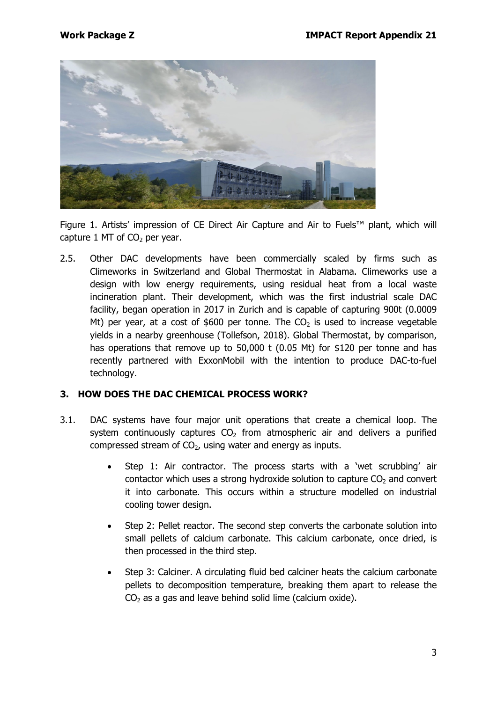

Figure 1. Artists' impression of CE Direct Air Capture and Air to Fuels™ plant, which will capture 1 MT of  $CO<sub>2</sub>$  per year.

2.5. Other DAC developments have been commercially scaled by firms such as Climeworks in Switzerland and Global Thermostat in Alabama. Climeworks use a design with low energy requirements, using residual heat from a local waste incineration plant. Their development, which was the first industrial scale DAC facility, began operation in 2017 in Zurich and is capable of capturing 900t (0.0009 Mt) per year, at a cost of \$600 per tonne. The  $CO<sub>2</sub>$  is used to increase vegetable yields in a nearby greenhouse (Tollefson, 2018). Global Thermostat, by comparison, has operations that remove up to 50,000 t (0.05 Mt) for \$120 per tonne and has recently partnered with ExxonMobil with the intention to produce DAC-to-fuel technology.

#### **3. HOW DOES THE DAC CHEMICAL PROCESS WORK?**

- 3.1. DAC systems have four major unit operations that create a chemical loop. The system continuously captures  $CO<sub>2</sub>$  from atmospheric air and delivers a purified compressed stream of  $CO<sub>2</sub>$ , using water and energy as inputs.
	- Step 1: Air contractor. The process starts with a 'wet scrubbing' air contactor which uses a strong hydroxide solution to capture  $CO<sub>2</sub>$  and convert it into carbonate. This occurs within a structure modelled on industrial cooling tower design.
	- Step 2: Pellet reactor. The second step converts the carbonate solution into small pellets of calcium carbonate. This calcium carbonate, once dried, is then processed in the third step.
	- Step 3: Calciner. A circulating fluid bed calciner heats the calcium carbonate pellets to decomposition temperature, breaking them apart to release the  $CO<sub>2</sub>$  as a gas and leave behind solid lime (calcium oxide).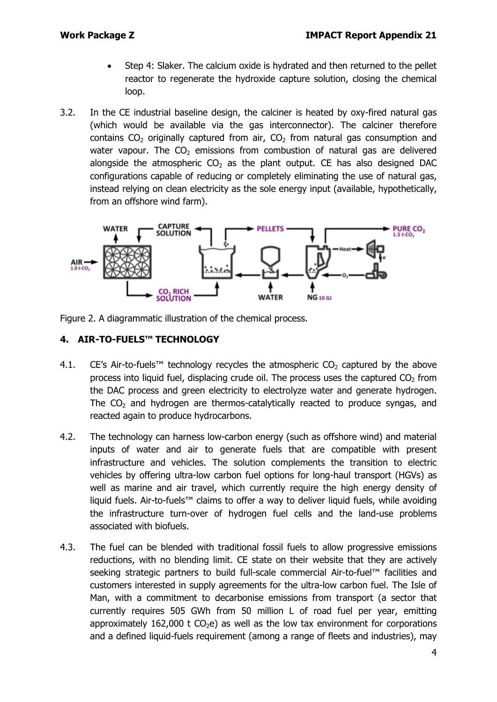- Step 4: Slaker. The calcium oxide is hydrated and then returned to the pellet reactor to regenerate the hydroxide capture solution, closing the chemical loop.
- 3.2. In the CE industrial baseline design, the calciner is heated by oxy-fired natural gas (which would be available via the gas interconnector). The calciner therefore contains  $CO<sub>2</sub>$  originally captured from air,  $CO<sub>2</sub>$  from natural gas consumption and water vapour. The  $CO<sub>2</sub>$  emissions from combustion of natural gas are delivered alongside the atmospheric  $CO<sub>2</sub>$  as the plant output. CE has also designed DAC configurations capable of reducing or completely eliminating the use of natural gas, instead relying on clean electricity as the sole energy input (available, hypothetically, from an offshore wind farm).





### **4. AIR-TO-FUELS™ TECHNOLOGY**

- 4.1. CE's Air-to-fuels<sup>™</sup> technology recycles the atmospheric  $CO<sub>2</sub>$  captured by the above process into liquid fuel, displacing crude oil. The process uses the captured  $CO<sub>2</sub>$  from the DAC process and green electricity to electrolyze water and generate hydrogen. The  $CO<sub>2</sub>$  and hydrogen are thermos-catalytically reacted to produce syngas, and reacted again to produce hydrocarbons.
- 4.2. The technology can harness low-carbon energy (such as offshore wind) and material inputs of water and air to generate fuels that are compatible with present infrastructure and vehicles. The solution complements the transition to electric vehicles by offering ultra-low carbon fuel options for long-haul transport (HGVs) as well as marine and air travel, which currently require the high energy density of liquid fuels. Air-to-fuels™ claims to offer a way to deliver liquid fuels, while avoiding the infrastructure turn-over of hydrogen fuel cells and the land-use problems associated with biofuels.
- 4.3. The fuel can be blended with traditional fossil fuels to allow progressive emissions reductions, with no blending limit. CE state on their website that they are actively seeking strategic partners to build full-scale commercial Air-to-fuel™ facilities and customers interested in supply agreements for the ultra-low carbon fuel. The Isle of Man, with a commitment to decarbonise emissions from transport (a sector that currently requires 505 GWh from 50 million L of road fuel per year, emitting approximately 162,000 t  $CO<sub>2</sub>e$ ) as well as the low tax environment for corporations and a defined liquid-fuels requirement (among a range of fleets and industries), may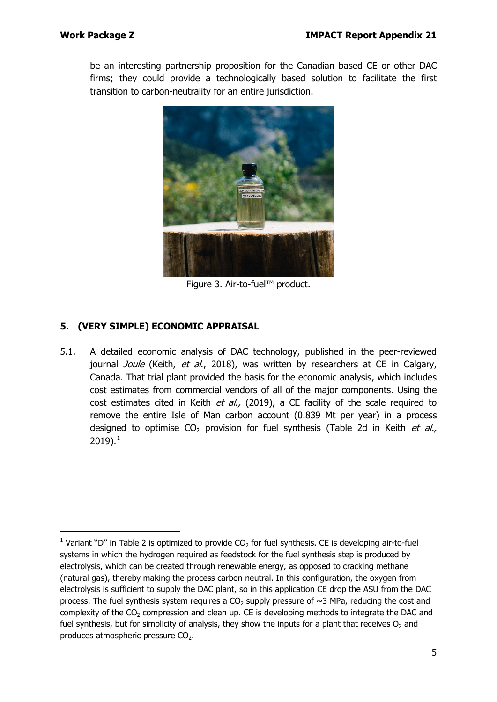be an interesting partnership proposition for the Canadian based CE or other DAC firms; they could provide a technologically based solution to facilitate the first transition to carbon-neutrality for an entire jurisdiction.



Figure 3. Air-to-fuel™ product.

# **5. (VERY SIMPLE) ECONOMIC APPRAISAL**

5.1. A detailed economic analysis of DAC technology, published in the peer-reviewed journal *Joule* (Keith, et al., 2018), was written by researchers at CE in Calgary, Canada. That trial plant provided the basis for the economic analysis, which includes cost estimates from commercial vendors of all of the major components. Using the cost estimates cited in Keith et al.,  $(2019)$ , a CE facility of the scale required to remove the entire Isle of Man carbon account (0.839 Mt per year) in a process designed to optimise  $CO<sub>2</sub>$  provision for fuel synthesis (Table 2d in Keith *et al.*,  $2019$  $2019$  $2019$ ).<sup>1</sup>

<span id="page-4-0"></span><sup>&</sup>lt;sup>1</sup> Variant "D" in Table 2 is optimized to provide  $CO<sub>2</sub>$  for fuel synthesis. CE is developing air-to-fuel systems in which the hydrogen required as feedstock for the fuel synthesis step is produced by electrolysis, which can be created through renewable energy, as opposed to cracking methane (natural gas), thereby making the process carbon neutral. In this configuration, the oxygen from electrolysis is sufficient to supply the DAC plant, so in this application CE drop the ASU from the DAC process. The fuel synthesis system requires a  $CO<sub>2</sub>$  supply pressure of  $\sim$ 3 MPa, reducing the cost and complexity of the  $CO<sub>2</sub>$  compression and clean up. CE is developing methods to integrate the DAC and fuel synthesis, but for simplicity of analysis, they show the inputs for a plant that receives  $O_2$  and produces atmospheric pressure CO<sub>2</sub>.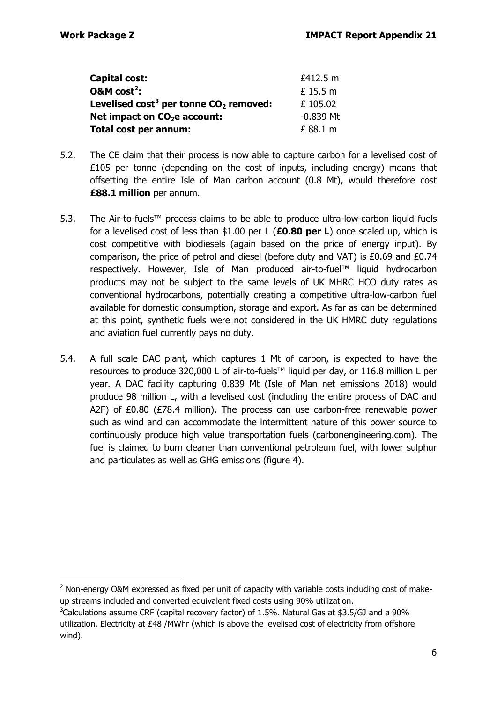| Capital cost:                              | £412.5 m    |
|--------------------------------------------|-------------|
| $0$ &M cost <sup>2</sup> :                 | $£$ 15.5 m  |
| Levelised $cost3$ per tonne $CO2$ removed: | £ 105.02    |
| Net impact on CO <sub>2</sub> e account:   | $-0.839$ Mt |
| Total cost per annum:                      | £ 88.1 m    |

- 5.2. The CE claim that their process is now able to capture carbon for a levelised cost of  $£105$  per tonne (depending on the cost of inputs, including energy) means that offsetting the entire Isle of Man carbon account (0.8 Mt), would therefore cost **£88.1 million** per annum.
- 5.3. The Air-to-fuels™ process claims to be able to produce ultra-low-carbon liquid fuels for a levelised cost of less than \$1.00 per L (**£0.80 per L**) once scaled up, which is cost competitive with biodiesels (again based on the price of energy input). By comparison, the price of petrol and diesel (before duty and VAT) is £0.69 and £0.74 respectively. However, Isle of Man produced air-to-fuel™ liquid hydrocarbon products may not be subject to the same levels of UK MHRC HCO duty rates as conventional hydrocarbons, potentially creating a competitive ultra-low-carbon fuel available for domestic consumption, storage and export. As far as can be determined at this point, synthetic fuels were not considered in the UK HMRC duty regulations and aviation fuel currently pays no duty.
- 5.4. A full scale DAC plant, which captures 1 Mt of carbon, is expected to have the resources to produce 320,000 L of air-to-fuels™ liquid per day, or 116.8 million L per year. A DAC facility capturing 0.839 Mt (Isle of Man net emissions 2018) would produce 98 million L, with a levelised cost (including the entire process of DAC and A2F) of £0.80 (£78.4 million). The process can use carbon-free renewable power such as wind and can accommodate the intermittent nature of this power source to continuously produce high value transportation fuels (carbonengineering.com). The fuel is claimed to burn cleaner than conventional petroleum fuel, with lower sulphur and particulates as well as GHG emissions (figure 4).

<span id="page-5-0"></span> $2$  Non-energy O&M expressed as fixed per unit of capacity with variable costs including cost of makeup streams included and converted equivalent fixed costs using 90% utilization.

<span id="page-5-1"></span> $3$ Calculations assume CRF (capital recovery factor) of 1.5%. Natural Gas at \$3.5/GJ and a 90% utilization. Electricity at £48 /MWhr (which is above the levelised cost of electricity from offshore wind).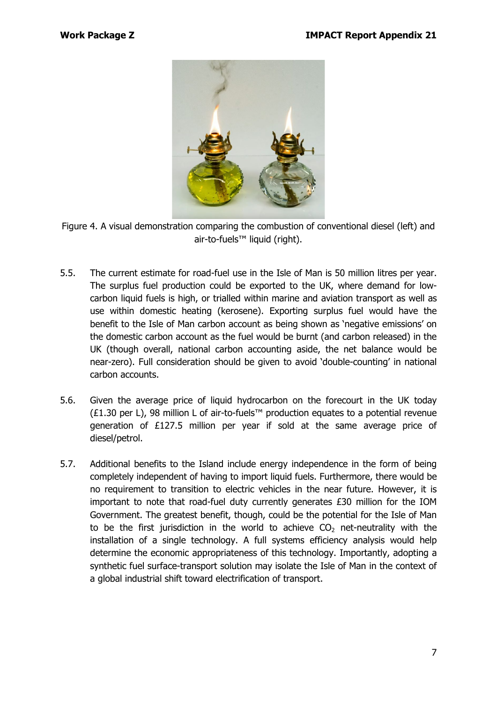



- 5.5. The current estimate for road-fuel use in the Isle of Man is 50 million litres per year. The surplus fuel production could be exported to the UK, where demand for lowcarbon liquid fuels is high, or trialled within marine and aviation transport as well as use within domestic heating (kerosene). Exporting surplus fuel would have the benefit to the Isle of Man carbon account as being shown as 'negative emissions' on the domestic carbon account as the fuel would be burnt (and carbon released) in the UK (though overall, national carbon accounting aside, the net balance would be near-zero). Full consideration should be given to avoid 'double-counting' in national carbon accounts.
- 5.6. Given the average price of liquid hydrocarbon on the forecourt in the UK today (£1.30 per L), 98 million L of air-to-fuels™ production equates to a potential revenue generation of £127.5 million per year if sold at the same average price of diesel/petrol.
- 5.7. Additional benefits to the Island include energy independence in the form of being completely independent of having to import liquid fuels. Furthermore, there would be no requirement to transition to electric vehicles in the near future. However, it is important to note that road-fuel duty currently generates £30 million for the IOM Government. The greatest benefit, though, could be the potential for the Isle of Man to be the first jurisdiction in the world to achieve  $CO<sub>2</sub>$  net-neutrality with the installation of a single technology. A full systems efficiency analysis would help determine the economic appropriateness of this technology. Importantly, adopting a synthetic fuel surface-transport solution may isolate the Isle of Man in the context of a global industrial shift toward electrification of transport.